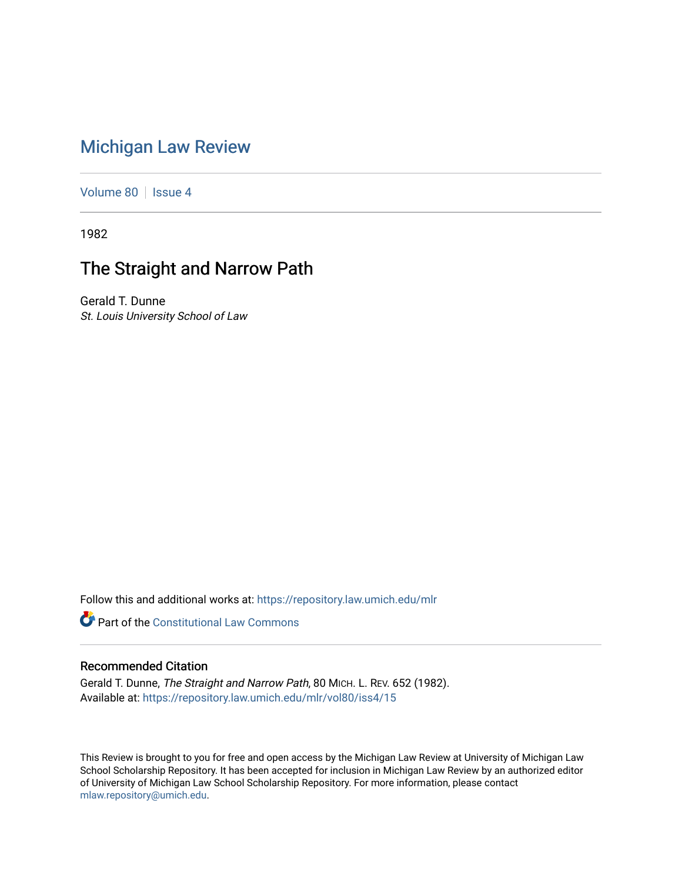# [Michigan Law Review](https://repository.law.umich.edu/mlr)

[Volume 80](https://repository.law.umich.edu/mlr/vol80) | [Issue 4](https://repository.law.umich.edu/mlr/vol80/iss4)

1982

# The Straight and Narrow Path

Gerald T. Dunne St. Louis University School of Law

Follow this and additional works at: [https://repository.law.umich.edu/mlr](https://repository.law.umich.edu/mlr?utm_source=repository.law.umich.edu%2Fmlr%2Fvol80%2Fiss4%2F15&utm_medium=PDF&utm_campaign=PDFCoverPages) 

**Part of the Constitutional Law Commons** 

### Recommended Citation

Gerald T. Dunne, The Straight and Narrow Path, 80 MICH. L. REV. 652 (1982). Available at: [https://repository.law.umich.edu/mlr/vol80/iss4/15](https://repository.law.umich.edu/mlr/vol80/iss4/15?utm_source=repository.law.umich.edu%2Fmlr%2Fvol80%2Fiss4%2F15&utm_medium=PDF&utm_campaign=PDFCoverPages) 

This Review is brought to you for free and open access by the Michigan Law Review at University of Michigan Law School Scholarship Repository. It has been accepted for inclusion in Michigan Law Review by an authorized editor of University of Michigan Law School Scholarship Repository. For more information, please contact [mlaw.repository@umich.edu.](mailto:mlaw.repository@umich.edu)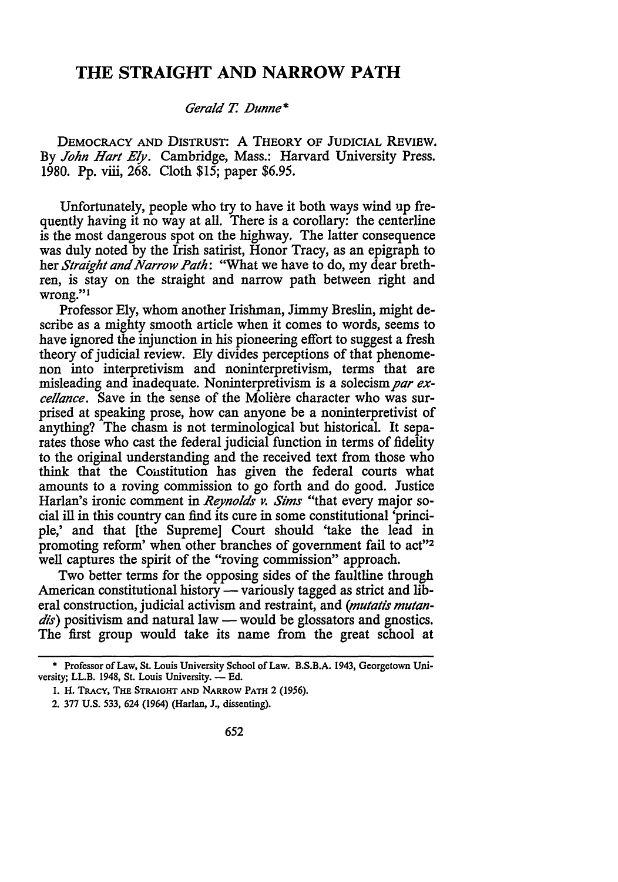### **THE STRAIGHT AND NARROW PATH**

#### *Gerald* T. *.Dunne\**

DEMOCRACY AND DISTRUST: A THEORY OF JUDICIAL REVIEW. By *John Hart Ely.* Cambridge, Mass.: Harvard University Press. 1980. Pp. viii, 268. Cloth \$15; paper \$6.95.

Unfortunately, people who try to have it both ways wind up frequently having it no way at all. There is a corollary: the centerline is the most dangerous spot on the highway. The latter consequence was duly noted by the Irish satirist, Honor Tracy, as an epigraph to her *Straight and Narrow Path:* ''What we have to do, my dear brethren, is stay on the straight and narrow path between right and wrong."<sup>1</sup>

Professor Ely, whom another Irishman, Jimmy Breslin, might describe as a mighty smooth article when it comes to words, seems to have ignored the injunction in his pioneering effort to suggest a fresh theory of judicial review. Ely divides perceptions of that phenomenon into interpretivism and noninterpretivism, terms that are misleading and inadequate. Noninterpretivism is a solecism *par exce//ance.* Save in the sense of the Moliere character who was surprised at speaking prose, how can anyone be a noninterpretivist of anything? The chasm is not terminological but historical. It separates those who cast the federal judicial function in terms of fidelity to the original understanding and the received text from those who think that the Coustitution has given the federal courts what amounts to a roving commission to go forth and do good. Justice Harlan's ironic comment in *Reynolds v. Sims* "that every major social ill in this country can find its cure in some constitutional 'principle,' and that [the Supreme] Court should 'take the lead in promoting reform' when other branches of government fail to act"<sup>2</sup> well captures the spirit of the "roving commission" approach.

Two better terms for the opposing sides of the faultline through American constitutional history — variously tagged as strict and liberal construction, judicial activism and restraint, and *(mutatis mutan*dis) positivism and natural law — would be glossators and gnostics. The first group would take its name from the great school at

<sup>•</sup> Professor of Law, St. Louis University School of Law. B.S.B.A. 1943, Georgetown University; LL.B. 1948, St. Louis University. -- Ed.

<sup>1.</sup> H. TRACY, THE STRAIGHT AND NARROW PATH 2 (1956).

<sup>2. 377</sup> U.S. 533, 624 (1964) (Harlan, J., dissenting).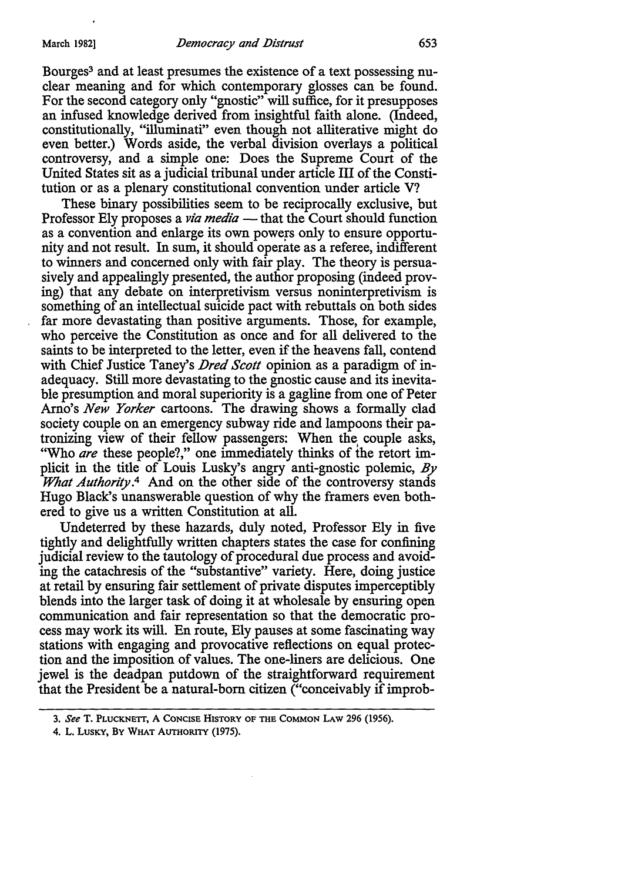Bourges<sup>3</sup> and at least presumes the existence of a text possessing nuclear meaning and for which contemporary glosses can be found. For the second category only "gnostic" will suffice, for it presupposes an infused knowledge derived from insightful faith alone. (Indeed, constitutionally, "illuminati" even though not alliterative might do even better.) Words aside, the verbal division overlays a political controversy, and a simple one: Does the Supreme Court of the United States sit as a judicial tribunal under article III of the Constitution or as a plenary constitutional convention under article V?

These binary possibilities seem to be reciprocally exclusive, but Professor Ely proposes a *via media* - that the Court should function as a convention and enlarge its own powers only to ensure opportunity and not result. In sum, it should operate as a referee, indifferent to winners and concerned only with fair play. The theory is persuasively and appealingly presented, the author proposing (indeed proving) that any debate on interpretivism versus noninterpretivism is something of an intellectual suicide pact with rebuttals on both sides far more devastating than positive arguments. Those, for example, who perceive the Constitution as once and for all delivered to the saints to be interpreted to the letter, even if the heavens fall, contend with Chief Justice Taney's *Dred Scott* opinion as a paradigm of inadequacy. Still more devastating to the gnostic cause and its inevitable presumption and moral superiority is a gagline from one of Peter Arno's *New Yorker* cartoons. The drawing shows a formally clad society couple on an emergency subway ride and lampoons their patronizing view of their fellow passengers: When the, couple asks, "Who *are* these people?," one immediately thinks of the retort implicit in the title of Louis Lusky's angry anti-gnostic polemic,  $By$ *What Authority.*4 And on the other side of the controversy stands Hugo Black's unanswerable question of why the framers even bothered to give us a written Constitution at all.

Undeterred by these hazards, duly noted, Professor Ely in five tightly and delightfully written chapters states the case for confining judicial review to the tautology of procedural due process and avoiding the catachresis of the "substantive" variety. Here, doing justice at retail by ensuring fair settlement of private disputes imperceptibly blends into the larger task of doing it at wholesale by ensuring open communication and fair representation so that the democratic process may work its will. En route, Ely pauses at some fascinating way stations with engaging and provocative reflections on equal protection and the imposition of values. The one-liners are delicious. One jewel is the deadpan putdown of the straightforward requirement that the President be a natural-born citizen ("conceivably if improb-

4. L. LUSKY, BY WHAT AUTHORITY (1975).

<sup>3.</sup> *See* T. PLUCKNETI, A CONCISE HISTORY OF THE COMMON LAW 296 (1956).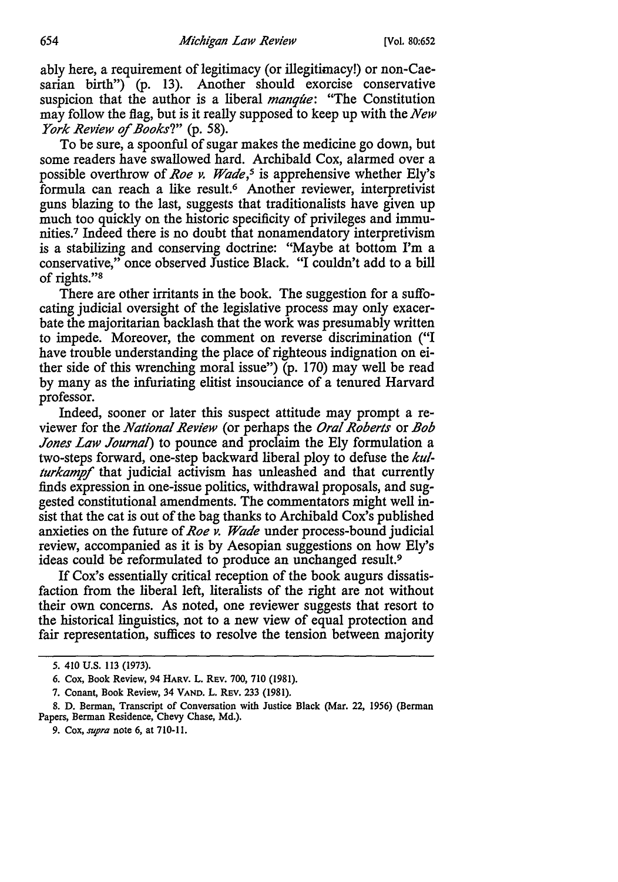ably here, a requirement of legitimacy ( or illegitimacy!) or non-Caesarian birth") (p. 13). Another should exorcise conservative suspicion that the author is a liberal *manque:* "The Constitution may follow the flag, but is it really supposed to keep up with the *New York Review of Books?"* (p. 58).

To be sure, a spoonful of sugar makes the medicine go down, but some readers have swallowed hard. Archibald Cox, alarmed over a possible overthrow of *Roe v. Wade*,<sup>5</sup> is apprehensive whether Ely's formula can reach a like result. 6 Another reviewer, interpretivist guns blazing to the last, suggests that traditionalists have given up much too quickly on the historic specificity of privileges and immunities.7 Indeed there is no doubt that nonamendatory interpretivism is a stabilizing and conserving doctrine: "Maybe at bottom I'm a conservative," once observed Justice Black. "I couldn't add to a bill of rights."<sup>8</sup>

There are other irritants in the book. The suggestion for a suffocating judicial oversight of the legislative process may only exacerbate the majoritarian backlash that the work was presumably written to impede. Moreover, the comment on reverse discrimination ("I have trouble understanding the place of righteous indignation on either side of this wrenching moral issue") (p. 170) may well be read by many as the infuriating elitist insouciance of a tenured Harvard professor.

Indeed, sooner or later this suspect attitude may prompt a reviewer for the *National Review* (or perhaps the *Oral Roberts* or *Bob Jones Law Journal)* to pounce and proclaim the Ely formulation a two-steps forward, one-step backward liberal ploy to defuse the *ku! turkampf* that judicial activism has unleashed and that currently finds expression in one-issue politics, withdrawal proposals, and suggested constitutional amendments. The commentators might well insist that the cat is out of the bag thanks to Archibald Cox's published anxieties on the future of *Roe v. Wade* under process-bound judicial review, accompanied as it is by Aesopian suggestions on how Ely's ideas could be reformulated to produce an unchanged result.<sup>9</sup>

If Cox's essentially critical reception of the book augurs dissatisfaction from the liberal left, literalists of the right are not without their own concerns. As noted, one reviewer suggests that resort to the historical linguistics, not to a new view of equal protection and fair representation, suffices to resolve the tension between majority

<sup>5. 410</sup> U.S. 113 (1973).

<sup>6.</sup> Cox, Book Review, 94 HARV. L. REV. 700, 710 (1981).

<sup>7.</sup> Conant, Book Review, 34 VAND. L. REV. 233 (1981).

<sup>8.</sup> D. Berman, Transcript of Conversation with Justice Black (Mar. 22, 1956) (Berman Papers, Berman Residence, Chevy Chase, Md.).

<sup>9.</sup> *Cox,supra* note 6, at 710-11.